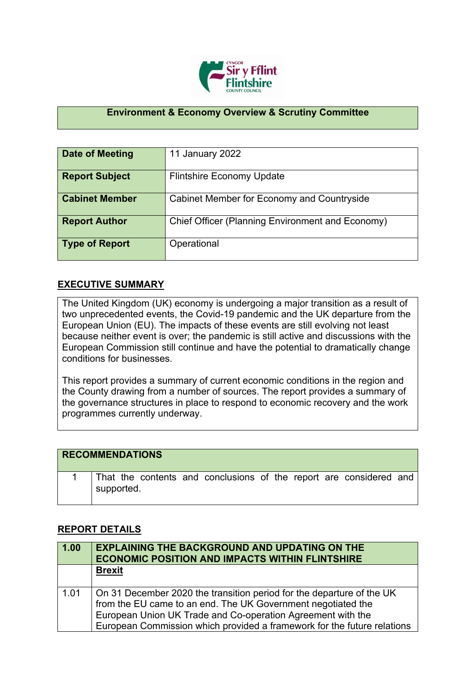

## **Environment & Economy Overview & Scrutiny Committee**

| Date of Meeting       | 11 January 2022                                  |
|-----------------------|--------------------------------------------------|
| <b>Report Subject</b> | <b>Flintshire Economy Update</b>                 |
| <b>Cabinet Member</b> | Cabinet Member for Economy and Countryside       |
| <b>Report Author</b>  | Chief Officer (Planning Environment and Economy) |
| <b>Type of Report</b> | Operational                                      |

## **EXECUTIVE SUMMARY**

The United Kingdom (UK) economy is undergoing a major transition as a result of two unprecedented events, the Covid-19 pandemic and the UK departure from the European Union (EU). The impacts of these events are still evolving not least because neither event is over; the pandemic is still active and discussions with the European Commission still continue and have the potential to dramatically change conditions for businesses.

This report provides a summary of current economic conditions in the region and the County drawing from a number of sources. The report provides a summary of the governance structures in place to respond to economic recovery and the work programmes currently underway.

## **RECOMMENDATIONS**

|                    |  | That the contents and conclusions of the report are considered and |  |  |  |
|--------------------|--|--------------------------------------------------------------------|--|--|--|
| $\perp$ supported. |  |                                                                    |  |  |  |

## **REPORT DETAILS**

| 1.00 | <b>EXPLAINING THE BACKGROUND AND UPDATING ON THE</b><br><b>ECONOMIC POSITION AND IMPACTS WITHIN FLINTSHIRE</b>                                                                                                                                                                  |
|------|---------------------------------------------------------------------------------------------------------------------------------------------------------------------------------------------------------------------------------------------------------------------------------|
|      | <b>Brexit</b>                                                                                                                                                                                                                                                                   |
| 1.01 | On 31 December 2020 the transition period for the departure of the UK<br>from the EU came to an end. The UK Government negotiated the<br>European Union UK Trade and Co-operation Agreement with the<br>European Commission which provided a framework for the future relations |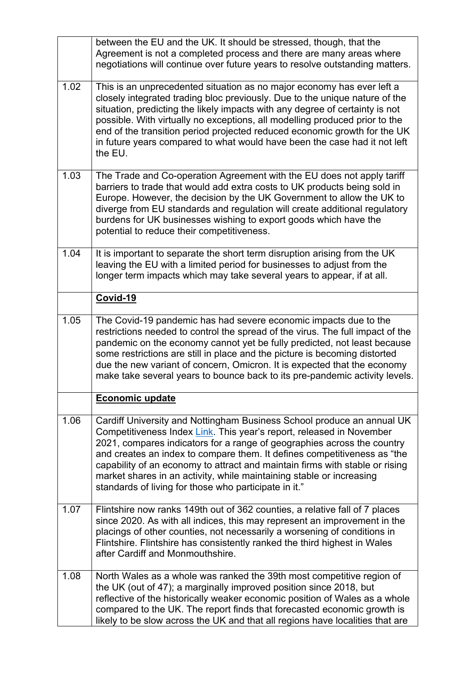|      | between the EU and the UK. It should be stressed, though, that the<br>Agreement is not a completed process and there are many areas where<br>negotiations will continue over future years to resolve outstanding matters.                                                                                                                                                                                                                                                                                              |
|------|------------------------------------------------------------------------------------------------------------------------------------------------------------------------------------------------------------------------------------------------------------------------------------------------------------------------------------------------------------------------------------------------------------------------------------------------------------------------------------------------------------------------|
| 1.02 | This is an unprecedented situation as no major economy has ever left a<br>closely integrated trading bloc previously. Due to the unique nature of the<br>situation, predicting the likely impacts with any degree of certainty is not<br>possible. With virtually no exceptions, all modelling produced prior to the<br>end of the transition period projected reduced economic growth for the UK<br>in future years compared to what would have been the case had it not left<br>the EU.                              |
| 1.03 | The Trade and Co-operation Agreement with the EU does not apply tariff<br>barriers to trade that would add extra costs to UK products being sold in<br>Europe. However, the decision by the UK Government to allow the UK to<br>diverge from EU standards and regulation will create additional regulatory<br>burdens for UK businesses wishing to export goods which have the<br>potential to reduce their competitiveness.                                                                                           |
| 1.04 | It is important to separate the short term disruption arising from the UK<br>leaving the EU with a limited period for businesses to adjust from the<br>longer term impacts which may take several years to appear, if at all.                                                                                                                                                                                                                                                                                          |
|      | Covid-19                                                                                                                                                                                                                                                                                                                                                                                                                                                                                                               |
| 1.05 | The Covid-19 pandemic has had severe economic impacts due to the<br>restrictions needed to control the spread of the virus. The full impact of the<br>pandemic on the economy cannot yet be fully predicted, not least because<br>some restrictions are still in place and the picture is becoming distorted<br>due the new variant of concern, Omicron. It is expected that the economy<br>make take several years to bounce back to its pre-pandemic activity levels.                                                |
|      | Economic update                                                                                                                                                                                                                                                                                                                                                                                                                                                                                                        |
| 1.06 | Cardiff University and Nottingham Business School produce an annual UK<br>Competitiveness Index Link. This year's report, released in November<br>2021, compares indicators for a range of geographies across the country<br>and creates an index to compare them. It defines competitiveness as "the<br>capability of an economy to attract and maintain firms with stable or rising<br>market shares in an activity, while maintaining stable or increasing<br>standards of living for those who participate in it." |
| 1.07 | Flintshire now ranks 149th out of 362 counties, a relative fall of 7 places<br>since 2020. As with all indices, this may represent an improvement in the<br>placings of other counties, not necessarily a worsening of conditions in<br>Flintshire. Flintshire has consistently ranked the third highest in Wales<br>after Cardiff and Monmouthshire.                                                                                                                                                                  |
| 1.08 | North Wales as a whole was ranked the 39th most competitive region of<br>the UK (out of 47); a marginally improved position since 2018, but<br>reflective of the historically weaker economic position of Wales as a whole<br>compared to the UK. The report finds that forecasted economic growth is<br>likely to be slow across the UK and that all regions have localities that are                                                                                                                                 |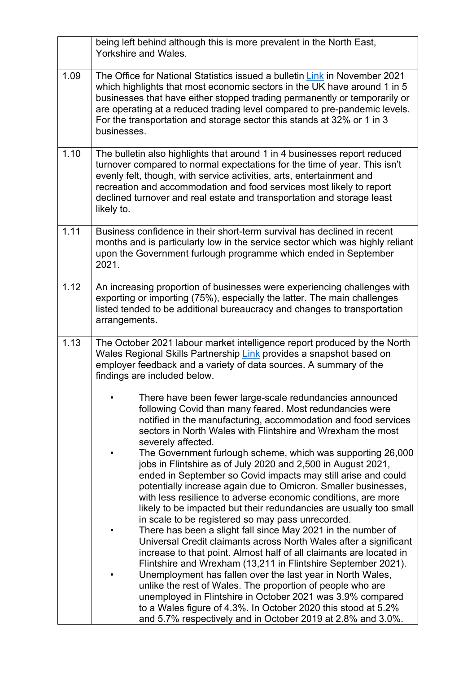|      | being left behind although this is more prevalent in the North East,<br>Yorkshire and Wales.                                                                                                                                                                                                                                                                                                              |
|------|-----------------------------------------------------------------------------------------------------------------------------------------------------------------------------------------------------------------------------------------------------------------------------------------------------------------------------------------------------------------------------------------------------------|
| 1.09 | The Office for National Statistics issued a bulletin Link in November 2021<br>which highlights that most economic sectors in the UK have around 1 in 5<br>businesses that have either stopped trading permanently or temporarily or<br>are operating at a reduced trading level compared to pre-pandemic levels.<br>For the transportation and storage sector this stands at 32% or 1 in 3<br>businesses. |
| 1.10 | The bulletin also highlights that around 1 in 4 businesses report reduced<br>turnover compared to normal expectations for the time of year. This isn't<br>evenly felt, though, with service activities, arts, entertainment and<br>recreation and accommodation and food services most likely to report<br>declined turnover and real estate and transportation and storage least<br>likely to.           |
| 1.11 | Business confidence in their short-term survival has declined in recent<br>months and is particularly low in the service sector which was highly reliant<br>upon the Government furlough programme which ended in September<br>2021.                                                                                                                                                                      |
| 1.12 | An increasing proportion of businesses were experiencing challenges with<br>exporting or importing (75%), especially the latter. The main challenges<br>listed tended to be additional bureaucracy and changes to transportation<br>arrangements.                                                                                                                                                         |
| 1.13 | The October 2021 labour market intelligence report produced by the North<br>Wales Regional Skills Partnership Link provides a snapshot based on<br>employer feedback and a variety of data sources. A summary of the<br>findings are included below.                                                                                                                                                      |
|      | There have been fewer large-scale redundancies announced<br>following Covid than many feared. Most redundancies were<br>notified in the manufacturing, accommodation and food services<br>sectors in North Wales with Flintshire and Wrexham the most<br>severely affected.                                                                                                                               |
|      | The Government furlough scheme, which was supporting 26,000<br>jobs in Flintshire as of July 2020 and 2,500 in August 2021,<br>ended in September so Covid impacts may still arise and could<br>potentially increase again due to Omicron. Smaller businesses,<br>with less resilience to adverse economic conditions, are more                                                                           |
|      | likely to be impacted but their redundancies are usually too small<br>in scale to be registered so may pass unrecorded.<br>There has been a slight fall since May 2021 in the number of<br>Universal Credit claimants across North Wales after a significant<br>increase to that point. Almost half of all claimants are located in                                                                       |
|      | Flintshire and Wrexham (13,211 in Flintshire September 2021).<br>Unemployment has fallen over the last year in North Wales,<br>unlike the rest of Wales. The proportion of people who are<br>unemployed in Flintshire in October 2021 was 3.9% compared<br>to a Wales figure of 4.3%. In October 2020 this stood at 5.2%<br>and 5.7% respectively and in October 2019 at 2.8% and 3.0%.                   |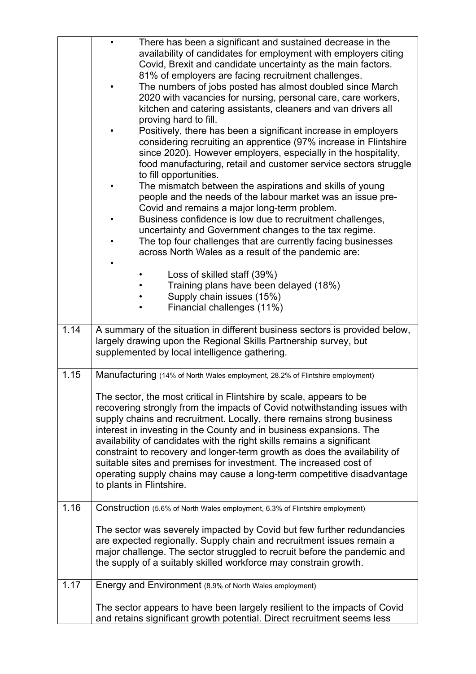|      |                          | There has been a significant and sustained decrease in the                                                                                       |
|------|--------------------------|--------------------------------------------------------------------------------------------------------------------------------------------------|
|      |                          | availability of candidates for employment with employers citing                                                                                  |
|      |                          | Covid, Brexit and candidate uncertainty as the main factors.                                                                                     |
|      |                          | 81% of employers are facing recruitment challenges.                                                                                              |
|      |                          | The numbers of jobs posted has almost doubled since March                                                                                        |
|      |                          | 2020 with vacancies for nursing, personal care, care workers,                                                                                    |
|      |                          | kitchen and catering assistants, cleaners and van drivers all                                                                                    |
|      |                          | proving hard to fill.                                                                                                                            |
|      |                          | Positively, there has been a significant increase in employers                                                                                   |
|      |                          | considering recruiting an apprentice (97% increase in Flintshire                                                                                 |
|      |                          | since 2020). However employers, especially in the hospitality,                                                                                   |
|      |                          | food manufacturing, retail and customer service sectors struggle                                                                                 |
|      |                          | to fill opportunities.                                                                                                                           |
|      |                          | The mismatch between the aspirations and skills of young                                                                                         |
|      |                          | people and the needs of the labour market was an issue pre-                                                                                      |
|      |                          | Covid and remains a major long-term problem.                                                                                                     |
|      |                          | Business confidence is low due to recruitment challenges,                                                                                        |
|      |                          | uncertainty and Government changes to the tax regime.<br>The top four challenges that are currently facing businesses                            |
|      |                          | across North Wales as a result of the pandemic are:                                                                                              |
|      |                          |                                                                                                                                                  |
|      |                          | Loss of skilled staff (39%)                                                                                                                      |
|      |                          | Training plans have been delayed (18%)                                                                                                           |
|      |                          | Supply chain issues (15%)                                                                                                                        |
|      |                          | Financial challenges (11%)                                                                                                                       |
|      |                          |                                                                                                                                                  |
| 1.14 |                          | A summary of the situation in different business sectors is provided below,                                                                      |
|      |                          | largely drawing upon the Regional Skills Partnership survey, but                                                                                 |
|      |                          | supplemented by local intelligence gathering.                                                                                                    |
|      |                          |                                                                                                                                                  |
| 1.15 |                          | Manufacturing (14% of North Wales employment, 28.2% of Flintshire employment)                                                                    |
|      |                          |                                                                                                                                                  |
|      |                          | The sector, the most critical in Flintshire by scale, appears to be<br>recovering strongly from the impacts of Covid notwithstanding issues with |
|      |                          | supply chains and recruitment. Locally, there remains strong business                                                                            |
|      |                          | interest in investing in the County and in business expansions. The                                                                              |
|      |                          | availability of candidates with the right skills remains a significant                                                                           |
|      |                          | constraint to recovery and longer-term growth as does the availability of                                                                        |
|      |                          | suitable sites and premises for investment. The increased cost of                                                                                |
|      |                          | operating supply chains may cause a long-term competitive disadvantage                                                                           |
|      | to plants in Flintshire. |                                                                                                                                                  |
|      |                          |                                                                                                                                                  |
| 1.16 |                          | Construction (5.6% of North Wales employment, 6.3% of Flintshire employment)                                                                     |
|      |                          |                                                                                                                                                  |
|      |                          | The sector was severely impacted by Covid but few further redundancies                                                                           |
|      |                          | are expected regionally. Supply chain and recruitment issues remain a                                                                            |
|      |                          | major challenge. The sector struggled to recruit before the pandemic and                                                                         |
|      |                          | the supply of a suitably skilled workforce may constrain growth.                                                                                 |
|      |                          |                                                                                                                                                  |
| 1.17 |                          | Energy and Environment (8.9% of North Wales employment)                                                                                          |
|      |                          | The sector appears to have been largely resilient to the impacts of Covid                                                                        |
|      |                          | and retains significant growth potential. Direct recruitment seems less                                                                          |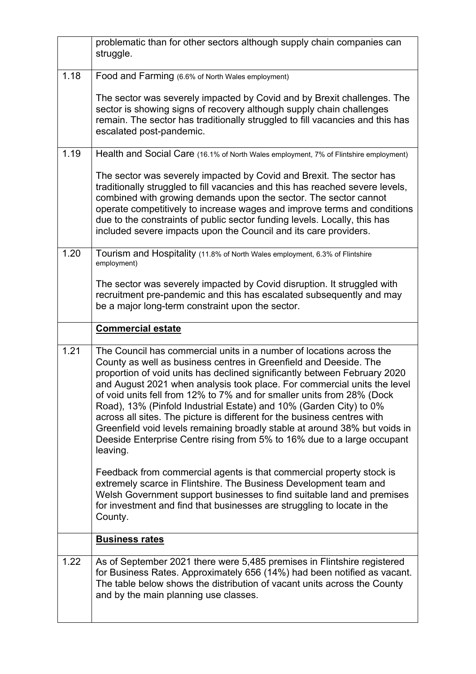|      | problematic than for other sectors although supply chain companies can<br>struggle.                                                                                                                                                                                                                                                                                                                                                                                                                                                                                                                                                                                                                 |
|------|-----------------------------------------------------------------------------------------------------------------------------------------------------------------------------------------------------------------------------------------------------------------------------------------------------------------------------------------------------------------------------------------------------------------------------------------------------------------------------------------------------------------------------------------------------------------------------------------------------------------------------------------------------------------------------------------------------|
| 1.18 | Food and Farming (6.6% of North Wales employment)                                                                                                                                                                                                                                                                                                                                                                                                                                                                                                                                                                                                                                                   |
|      | The sector was severely impacted by Covid and by Brexit challenges. The<br>sector is showing signs of recovery although supply chain challenges<br>remain. The sector has traditionally struggled to fill vacancies and this has<br>escalated post-pandemic.                                                                                                                                                                                                                                                                                                                                                                                                                                        |
| 1.19 | Health and Social Care (16.1% of North Wales employment, 7% of Flintshire employment)                                                                                                                                                                                                                                                                                                                                                                                                                                                                                                                                                                                                               |
|      | The sector was severely impacted by Covid and Brexit. The sector has<br>traditionally struggled to fill vacancies and this has reached severe levels,<br>combined with growing demands upon the sector. The sector cannot<br>operate competitively to increase wages and improve terms and conditions<br>due to the constraints of public sector funding levels. Locally, this has<br>included severe impacts upon the Council and its care providers.                                                                                                                                                                                                                                              |
| 1.20 | Tourism and Hospitality (11.8% of North Wales employment, 6.3% of Flintshire<br>employment)                                                                                                                                                                                                                                                                                                                                                                                                                                                                                                                                                                                                         |
|      | The sector was severely impacted by Covid disruption. It struggled with<br>recruitment pre-pandemic and this has escalated subsequently and may<br>be a major long-term constraint upon the sector.                                                                                                                                                                                                                                                                                                                                                                                                                                                                                                 |
|      | <b>Commercial estate</b>                                                                                                                                                                                                                                                                                                                                                                                                                                                                                                                                                                                                                                                                            |
| 1.21 | The Council has commercial units in a number of locations across the<br>County as well as business centres in Greenfield and Deeside. The<br>proportion of void units has declined significantly between February 2020<br>and August 2021 when analysis took place. For commercial units the level<br>of void units fell from 12% to 7% and for smaller units from 28% (Dock<br>Road), 13% (Pinfold Industrial Estate) and 10% (Garden City) to 0%<br>across all sites. The picture is different for the business centres with<br>Greenfield void levels remaining broadly stable at around 38% but voids in<br>Deeside Enterprise Centre rising from 5% to 16% due to a large occupant<br>leaving. |
|      | Feedback from commercial agents is that commercial property stock is<br>extremely scarce in Flintshire. The Business Development team and<br>Welsh Government support businesses to find suitable land and premises<br>for investment and find that businesses are struggling to locate in the<br>County.                                                                                                                                                                                                                                                                                                                                                                                           |
|      | <b>Business rates</b>                                                                                                                                                                                                                                                                                                                                                                                                                                                                                                                                                                                                                                                                               |
| 1.22 | As of September 2021 there were 5,485 premises in Flintshire registered<br>for Business Rates. Approximately 656 (14%) had been notified as vacant.<br>The table below shows the distribution of vacant units across the County<br>and by the main planning use classes.                                                                                                                                                                                                                                                                                                                                                                                                                            |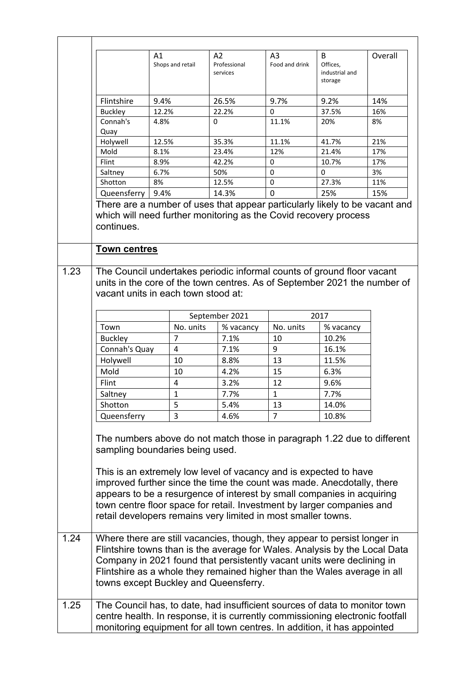|      |                                   | A1<br>Shops and retail              | A2<br>Professional<br>services                                                                                                                                                                                                                                                                                                                                                                                                              | A3<br>Food and drink | B<br>Offices,<br>industrial and<br>storage | Overall    |
|------|-----------------------------------|-------------------------------------|---------------------------------------------------------------------------------------------------------------------------------------------------------------------------------------------------------------------------------------------------------------------------------------------------------------------------------------------------------------------------------------------------------------------------------------------|----------------------|--------------------------------------------|------------|
|      | Flintshire                        | 9.4%                                | 26.5%                                                                                                                                                                                                                                                                                                                                                                                                                                       | 9.7%                 | 9.2%                                       | 14%        |
|      | <b>Buckley</b>                    | 12.2%                               | 22.2%                                                                                                                                                                                                                                                                                                                                                                                                                                       | 0                    | 37.5%                                      | 16%        |
|      | Connah's                          | 4.8%                                | 0                                                                                                                                                                                                                                                                                                                                                                                                                                           | 11.1%                | 20%                                        | 8%         |
|      | Quay                              |                                     |                                                                                                                                                                                                                                                                                                                                                                                                                                             |                      |                                            |            |
|      | Holywell<br>Mold                  | 12.5%<br>8.1%                       | 35.3%<br>23.4%                                                                                                                                                                                                                                                                                                                                                                                                                              | 11.1%<br>12%         | 41.7%<br>21.4%                             | 21%<br>17% |
|      | Flint                             | 8.9%                                | 42.2%                                                                                                                                                                                                                                                                                                                                                                                                                                       | 0                    | 10.7%                                      | 17%        |
|      | Saltney                           | 6.7%                                | 50%                                                                                                                                                                                                                                                                                                                                                                                                                                         | 0                    | $\Omega$                                   | 3%         |
|      | Shotton                           | 8%                                  | 12.5%                                                                                                                                                                                                                                                                                                                                                                                                                                       | 0                    | 27.3%                                      | 11%        |
|      | Queensferry                       | 9.4%                                | 14.3%                                                                                                                                                                                                                                                                                                                                                                                                                                       | $\overline{0}$       | 25%                                        | 15%        |
| 1.23 | continues.<br><b>Town centres</b> | vacant units in each town stood at: | The Council undertakes periodic informal counts of ground floor vacant<br>units in the core of the town centres. As of September 2021 the number of                                                                                                                                                                                                                                                                                         |                      |                                            |            |
|      |                                   |                                     |                                                                                                                                                                                                                                                                                                                                                                                                                                             |                      |                                            |            |
|      |                                   |                                     | September 2021                                                                                                                                                                                                                                                                                                                                                                                                                              |                      | 2017                                       |            |
|      | Town                              | No. units                           | % vacancy                                                                                                                                                                                                                                                                                                                                                                                                                                   | No. units            | % vacancy                                  |            |
|      | <b>Buckley</b>                    | 7<br>4                              | 7.1%<br>7.1%                                                                                                                                                                                                                                                                                                                                                                                                                                | 10<br>9              | 10.2%<br>16.1%                             |            |
|      | Connah's Quay<br>Holywell         | 10                                  | 8.8%                                                                                                                                                                                                                                                                                                                                                                                                                                        | 13                   | 11.5%                                      |            |
|      | Mold                              | 10                                  | 4.2%                                                                                                                                                                                                                                                                                                                                                                                                                                        | 15                   | 6.3%                                       |            |
|      | Flint                             | 4                                   | 3.2%                                                                                                                                                                                                                                                                                                                                                                                                                                        | 12                   | 9.6%                                       |            |
|      | Saltney                           | $\mathbf{1}$                        | 7.7%                                                                                                                                                                                                                                                                                                                                                                                                                                        | $\mathbf{1}$         | 7.7%                                       |            |
|      | Shotton                           | 5                                   | 5.4%                                                                                                                                                                                                                                                                                                                                                                                                                                        | 13                   | 14.0%                                      |            |
|      | Queensferry                       | 3                                   | 4.6%                                                                                                                                                                                                                                                                                                                                                                                                                                        | $\overline{7}$       | 10.8%                                      |            |
|      |                                   | sampling boundaries being used.     | The numbers above do not match those in paragraph 1.22 due to different<br>This is an extremely low level of vacancy and is expected to have<br>improved further since the time the count was made. Anecdotally, there<br>appears to be a resurgence of interest by small companies in acquiring<br>town centre floor space for retail. Investment by larger companies and<br>retail developers remains very limited in most smaller towns. |                      |                                            |            |
| 1.24 |                                   |                                     | Where there are still vacancies, though, they appear to persist longer in<br>Flintshire towns than is the average for Wales. Analysis by the Local Data<br>Company in 2021 found that persistently vacant units were declining in<br>Flintshire as a whole they remained higher than the Wales average in all<br>towns except Buckley and Queensferry.                                                                                      |                      |                                            |            |
| 1.25 |                                   |                                     | The Council has, to date, had insufficient sources of data to monitor town<br>centre health. In response, it is currently commissioning electronic footfall<br>monitoring equipment for all town centres. In addition, it has appointed                                                                                                                                                                                                     |                      |                                            |            |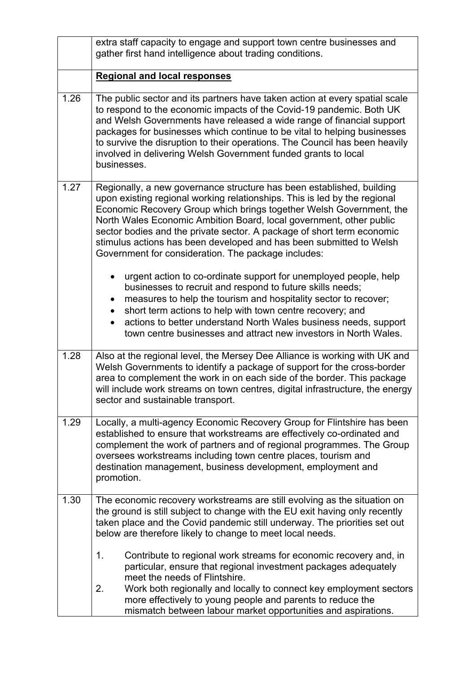|      | extra staff capacity to engage and support town centre businesses and<br>gather first hand intelligence about trading conditions.                                                                                                                                                                                                                                                                                                                                                                                                                                            |
|------|------------------------------------------------------------------------------------------------------------------------------------------------------------------------------------------------------------------------------------------------------------------------------------------------------------------------------------------------------------------------------------------------------------------------------------------------------------------------------------------------------------------------------------------------------------------------------|
|      | <b>Regional and local responses</b>                                                                                                                                                                                                                                                                                                                                                                                                                                                                                                                                          |
| 1.26 | The public sector and its partners have taken action at every spatial scale<br>to respond to the economic impacts of the Covid-19 pandemic. Both UK<br>and Welsh Governments have released a wide range of financial support<br>packages for businesses which continue to be vital to helping businesses<br>to survive the disruption to their operations. The Council has been heavily<br>involved in delivering Welsh Government funded grants to local<br>businesses.                                                                                                     |
| 1.27 | Regionally, a new governance structure has been established, building<br>upon existing regional working relationships. This is led by the regional<br>Economic Recovery Group which brings together Welsh Government, the<br>North Wales Economic Ambition Board, local government, other public<br>sector bodies and the private sector. A package of short term economic<br>stimulus actions has been developed and has been submitted to Welsh<br>Government for consideration. The package includes:<br>urgent action to co-ordinate support for unemployed people, help |
|      | businesses to recruit and respond to future skills needs;<br>measures to help the tourism and hospitality sector to recover;<br>$\bullet$<br>short term actions to help with town centre recovery; and<br>actions to better understand North Wales business needs, support<br>town centre businesses and attract new investors in North Wales.                                                                                                                                                                                                                               |
| 1.28 | Also at the regional level, the Mersey Dee Alliance is working with UK and<br>Welsh Governments to identify a package of support for the cross-border<br>area to complement the work in on each side of the border. This package<br>will include work streams on town centres, digital infrastructure, the energy<br>sector and sustainable transport.                                                                                                                                                                                                                       |
| 1.29 | Locally, a multi-agency Economic Recovery Group for Flintshire has been<br>established to ensure that workstreams are effectively co-ordinated and<br>complement the work of partners and of regional programmes. The Group<br>oversees workstreams including town centre places, tourism and<br>destination management, business development, employment and<br>promotion.                                                                                                                                                                                                  |
| 1.30 | The economic recovery workstreams are still evolving as the situation on<br>the ground is still subject to change with the EU exit having only recently<br>taken place and the Covid pandemic still underway. The priorities set out<br>below are therefore likely to change to meet local needs.                                                                                                                                                                                                                                                                            |
|      | $\mathbf 1$ .<br>Contribute to regional work streams for economic recovery and, in<br>particular, ensure that regional investment packages adequately<br>meet the needs of Flintshire.<br>Work both regionally and locally to connect key employment sectors<br>2.<br>more effectively to young people and parents to reduce the                                                                                                                                                                                                                                             |
|      | mismatch between labour market opportunities and aspirations.                                                                                                                                                                                                                                                                                                                                                                                                                                                                                                                |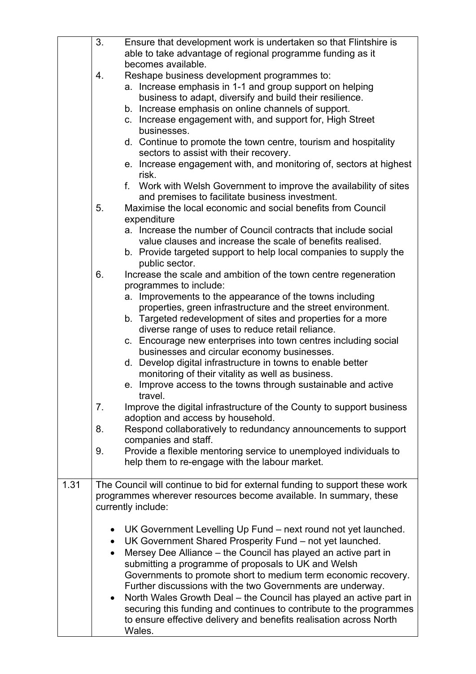|      | 3.        | Ensure that development work is undertaken so that Flintshire is                       |
|------|-----------|----------------------------------------------------------------------------------------|
|      |           | able to take advantage of regional programme funding as it                             |
|      |           | becomes available.                                                                     |
|      | 4.        | Reshape business development programmes to:                                            |
|      |           | a. Increase emphasis in 1-1 and group support on helping                               |
|      |           | business to adapt, diversify and build their resilience.                               |
|      |           | b. Increase emphasis on online channels of support.                                    |
|      |           | c. Increase engagement with, and support for, High Street                              |
|      |           | businesses.                                                                            |
|      |           | d. Continue to promote the town centre, tourism and hospitality                        |
|      |           | sectors to assist with their recovery.                                                 |
|      |           | e. Increase engagement with, and monitoring of, sectors at highest                     |
|      |           | risk.                                                                                  |
|      |           | f. Work with Welsh Government to improve the availability of sites                     |
|      |           | and premises to facilitate business investment.                                        |
|      | 5.        | Maximise the local economic and social benefits from Council                           |
|      |           | expenditure                                                                            |
|      |           | a. Increase the number of Council contracts that include social                        |
|      |           | value clauses and increase the scale of benefits realised.                             |
|      |           | b. Provide targeted support to help local companies to supply the                      |
|      |           | public sector.                                                                         |
|      | 6.        | Increase the scale and ambition of the town centre regeneration                        |
|      |           | programmes to include:                                                                 |
|      |           | a. Improvements to the appearance of the towns including                               |
|      |           | properties, green infrastructure and the street environment.                           |
|      |           | b. Targeted redevelopment of sites and properties for a more                           |
|      |           | diverse range of uses to reduce retail reliance.                                       |
|      |           | c. Encourage new enterprises into town centres including social                        |
|      |           | businesses and circular economy businesses.                                            |
|      |           | d. Develop digital infrastructure in towns to enable better                            |
|      |           | monitoring of their vitality as well as business.                                      |
|      |           | e. Improve access to the towns through sustainable and active                          |
|      |           | travel.                                                                                |
|      | 7.        | Improve the digital infrastructure of the County to support business                   |
|      |           | adoption and access by household.                                                      |
|      | 8.        | Respond collaboratively to redundancy announcements to support<br>companies and staff. |
|      | 9.        | Provide a flexible mentoring service to unemployed individuals to                      |
|      |           | help them to re-engage with the labour market.                                         |
|      |           |                                                                                        |
| 1.31 |           | The Council will continue to bid for external funding to support these work            |
|      |           | programmes wherever resources become available. In summary, these                      |
|      |           | currently include:                                                                     |
|      |           |                                                                                        |
|      | $\bullet$ | UK Government Levelling Up Fund – next round not yet launched.                         |
|      | $\bullet$ | UK Government Shared Prosperity Fund - not yet launched.                               |
|      | $\bullet$ | Mersey Dee Alliance - the Council has played an active part in                         |
|      |           | submitting a programme of proposals to UK and Welsh                                    |
|      |           | Governments to promote short to medium term economic recovery.                         |
|      |           | Further discussions with the two Governments are underway.                             |
|      |           | North Wales Growth Deal - the Council has played an active part in                     |
|      |           | securing this funding and continues to contribute to the programmes                    |
|      |           | to ensure effective delivery and benefits realisation across North                     |
|      |           | Wales.                                                                                 |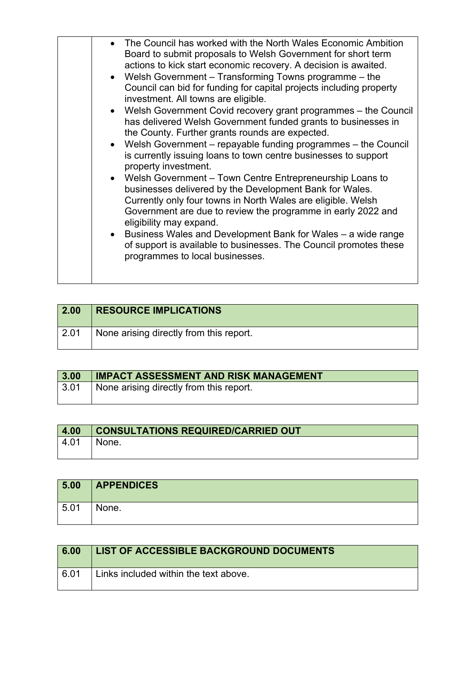| $\vert$ 2.00 | <b>RESOURCE IMPLICATIONS</b>            |
|--------------|-----------------------------------------|
| 2.01         | None arising directly from this report. |

| 3.00 | IMPACT ASSESSMENT AND RISK MANAGEMENT   |
|------|-----------------------------------------|
| 3.01 | None arising directly from this report. |
|      |                                         |

| 4.00            | <b>CONSULTATIONS REQUIRED/CARRIED OUT</b> |
|-----------------|-------------------------------------------|
| $^{\circ}$ 4.01 | None.                                     |
|                 |                                           |

| 5.00 | <b>APPENDICES</b> |
|------|-------------------|
| 5.01 | None.             |

| 6.00 | LIST OF ACCESSIBLE BACKGROUND DOCUMENTS |
|------|-----------------------------------------|
| 6.01 | Links included within the text above.   |